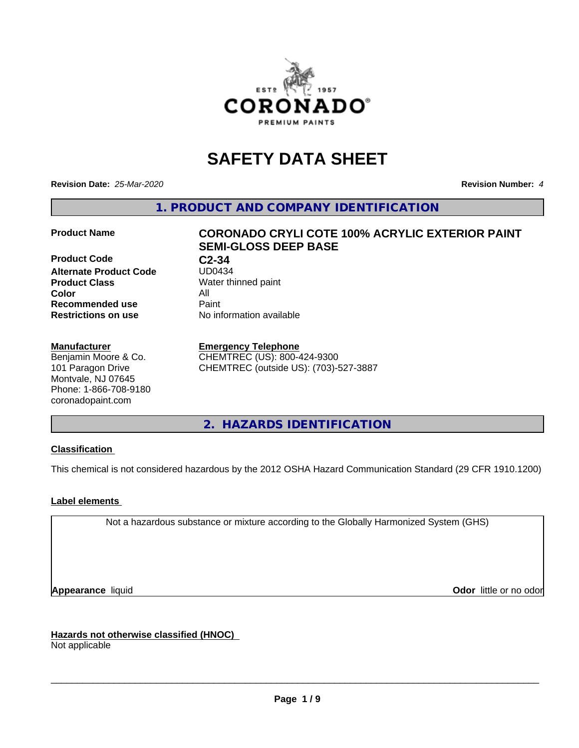

# **SAFETY DATA SHEET**

**Revision Date:** *25-Mar-2020* **Revision Number:** *4*

**1. PRODUCT AND COMPANY IDENTIFICATION**

**Product Code C2-34**<br>Alternate Product Code UD0434 **Alternate Product Code Product Class** Water thinned paint<br> **Color** All **Color** All **Recommended use Caint Restrictions on use** No information available

#### **Manufacturer**

Benjamin Moore & Co. 101 Paragon Drive Montvale, NJ 07645 Phone: 1-866-708-9180 coronadopaint.com

## **Product Name CORONADO CRYLI COTE 100% ACRYLIC EXTERIOR PAINT SEMI-GLOSS DEEP BASE**

#### **Emergency Telephone**

CHEMTREC (US): 800-424-9300 CHEMTREC (outside US): (703)-527-3887

**2. HAZARDS IDENTIFICATION**

### **Classification**

This chemical is not considered hazardous by the 2012 OSHA Hazard Communication Standard (29 CFR 1910.1200)

### **Label elements**

Not a hazardous substance or mixture according to the Globally Harmonized System (GHS)

**Appearance** liquid **Contract Contract Contract Contract Contract Contract Contract Contract Contract Contract Contract Contract Contract Contract Contract Contract Contract Contract Contract Contract Contract Contract Con** 

**Hazards not otherwise classified (HNOC)**

Not applicable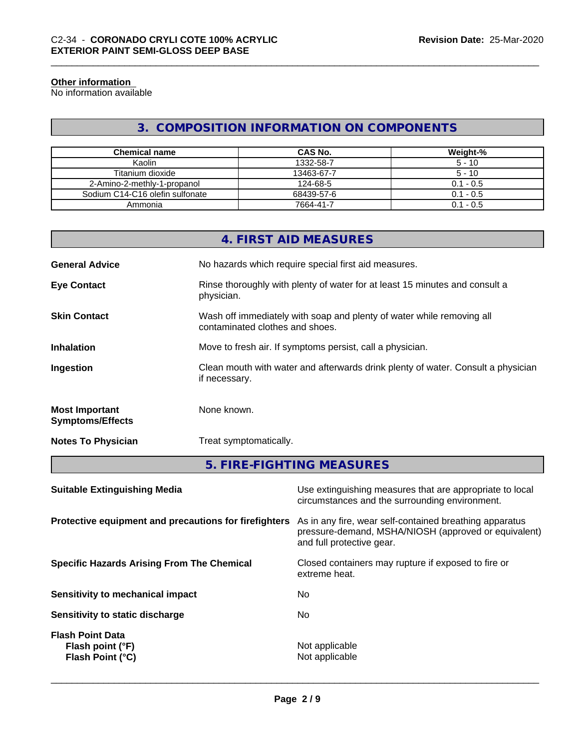#### **Other information**

No information available

## **3. COMPOSITION INFORMATION ON COMPONENTS**

| <b>Chemical name</b>            | CAS No.    | Weight-%    |
|---------------------------------|------------|-------------|
| Kaolin                          | 1332-58-7  | $5 - 10$    |
| Titanium dioxide                | 13463-67-7 | $5 - 10$    |
| 2-Amino-2-methly-1-propanol     | 124-68-5   | $0.1 - 0.5$ |
| Sodium C14-C16 olefin sulfonate | 68439-57-6 | $0.1 - 0.5$ |
| Ammonia                         | 7664-41-7  | $0.1 - 0.5$ |

|                                                  | 4. FIRST AID MEASURES                                                                                    |
|--------------------------------------------------|----------------------------------------------------------------------------------------------------------|
| <b>General Advice</b>                            | No hazards which require special first aid measures.                                                     |
| <b>Eye Contact</b>                               | Rinse thoroughly with plenty of water for at least 15 minutes and consult a<br>physician.                |
| <b>Skin Contact</b>                              | Wash off immediately with soap and plenty of water while removing all<br>contaminated clothes and shoes. |
| <b>Inhalation</b>                                | Move to fresh air. If symptoms persist, call a physician.                                                |
| Ingestion                                        | Clean mouth with water and afterwards drink plenty of water. Consult a physician<br>if necessary.        |
| <b>Most Important</b><br><b>Symptoms/Effects</b> | None known.                                                                                              |
| <b>Notes To Physician</b>                        | Treat symptomatically.                                                                                   |
|                                                  | 5. FIRE-FIGHTING MEASURES                                                                                |

| Use extinguishing measures that are appropriate to local<br>circumstances and the surrounding environment.                                   |
|----------------------------------------------------------------------------------------------------------------------------------------------|
| As in any fire, wear self-contained breathing apparatus<br>pressure-demand, MSHA/NIOSH (approved or equivalent)<br>and full protective gear. |
| Closed containers may rupture if exposed to fire or<br>extreme heat.                                                                         |
| No.                                                                                                                                          |
| No.                                                                                                                                          |
| Not applicable<br>Not applicable                                                                                                             |
|                                                                                                                                              |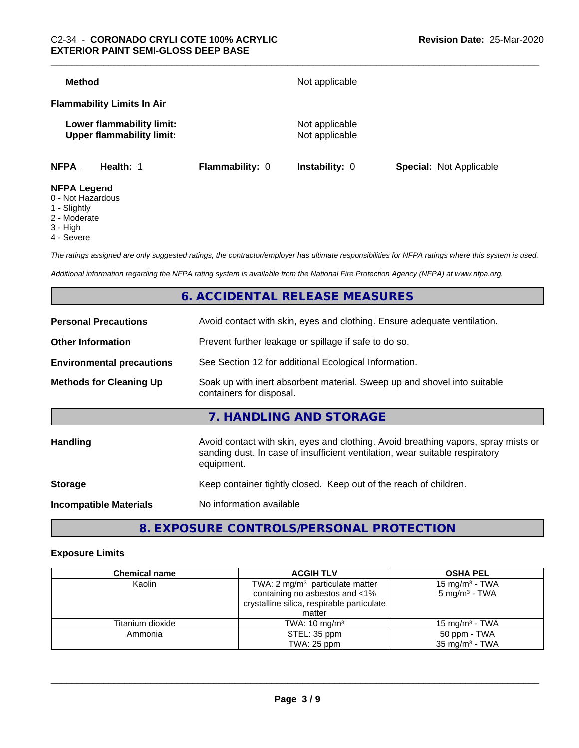| <b>Method</b>                                                 |                 | Not applicable                   |                                |
|---------------------------------------------------------------|-----------------|----------------------------------|--------------------------------|
| <b>Flammability Limits In Air</b>                             |                 |                                  |                                |
| Lower flammability limit:<br><b>Upper flammability limit:</b> |                 | Not applicable<br>Not applicable |                                |
| <b>NFPA</b><br>Health: 1                                      | Flammability: 0 | <b>Instability: 0</b>            | <b>Special: Not Applicable</b> |
| <b>NFPA Legend</b><br>0 - Not Hazardous                       |                 |                                  |                                |

- 1 Slightly
- 2 Moderate
- 3 High
- 
- 4 Severe

*The ratings assigned are only suggested ratings, the contractor/employer has ultimate responsibilities for NFPA ratings where this system is used.*

*Additional information regarding the NFPA rating system is available from the National Fire Protection Agency (NFPA) at www.nfpa.org.*

## **6. ACCIDENTAL RELEASE MEASURES**

| <b>Personal Precautions</b>      | Avoid contact with skin, eyes and clothing. Ensure adequate ventilation.                                                                                                         |
|----------------------------------|----------------------------------------------------------------------------------------------------------------------------------------------------------------------------------|
| <b>Other Information</b>         | Prevent further leakage or spillage if safe to do so.                                                                                                                            |
| <b>Environmental precautions</b> | See Section 12 for additional Ecological Information.                                                                                                                            |
| <b>Methods for Cleaning Up</b>   | Soak up with inert absorbent material. Sweep up and shovel into suitable<br>containers for disposal.                                                                             |
|                                  | 7. HANDLING AND STORAGE                                                                                                                                                          |
| Handling                         | Avoid contact with skin, eyes and clothing. Avoid breathing vapors, spray mists or<br>sanding dust. In case of insufficient ventilation, wear suitable respiratory<br>equipment. |
| <b>Storage</b>                   | Keep container tightly closed. Keep out of the reach of children.                                                                                                                |
| <b>Incompatible Materials</b>    | No information available                                                                                                                                                         |
|                                  |                                                                                                                                                                                  |

## **8. EXPOSURE CONTROLS/PERSONAL PROTECTION**

#### **Exposure Limits**

| <b>Chemical name</b> | <b>ACGIH TLV</b>                                                                                                           | <b>OSHA PEL</b>                                        |  |
|----------------------|----------------------------------------------------------------------------------------------------------------------------|--------------------------------------------------------|--|
| Kaolin               | TWA: $2 \text{ mg/m}^3$ particulate matter<br>containing no asbestos and <1%<br>crystalline silica, respirable particulate | 15 mg/m <sup>3</sup> - TWA<br>$5 \text{ mg/m}^3$ - TWA |  |
|                      | matter                                                                                                                     |                                                        |  |
| Titanium dioxide     | TWA: $10 \text{ mg/m}^3$                                                                                                   | 15 mg/m $3$ - TWA                                      |  |
| Ammonia              | STEL: 35 ppm                                                                                                               | 50 ppm - TWA                                           |  |
|                      | TWA: 25 ppm                                                                                                                | $35 \text{ mg/m}^3$ - TWA                              |  |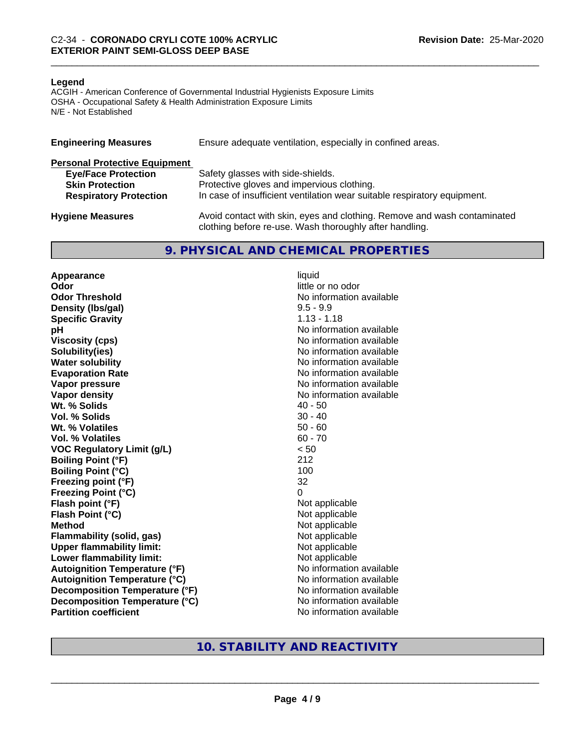#### **Legend**

ACGIH - American Conference of Governmental Industrial Hygienists Exposure Limits OSHA - Occupational Safety & Health Administration Exposure Limits N/E - Not Established

| <b>Engineering Measures</b>          | Ensure adequate ventilation, especially in confined areas.                                                                          |
|--------------------------------------|-------------------------------------------------------------------------------------------------------------------------------------|
| <b>Personal Protective Equipment</b> |                                                                                                                                     |
| <b>Eye/Face Protection</b>           | Safety glasses with side-shields.                                                                                                   |
| <b>Skin Protection</b>               | Protective gloves and impervious clothing.                                                                                          |
| <b>Respiratory Protection</b>        | In case of insufficient ventilation wear suitable respiratory equipment.                                                            |
| <b>Hygiene Measures</b>              | Avoid contact with skin, eyes and clothing. Remove and wash contaminated<br>clothing before re-use. Wash thoroughly after handling. |

### **9. PHYSICAL AND CHEMICAL PROPERTIES**

**Appearance** liquid **Odor** little or no odor **Odor Threshold No information available No information available Density (Ibs/gal)** 9.5 - 9.9<br> **Specific Gravity** 3.113 - 1.13 **Specific Gravity pH pH**  $\blacksquare$ **Viscosity (cps)** No information available **Solubility(ies)** No information available **Water solubility** No information available **Evaporation Rate No information available No information available Vapor pressure** No information available in the North American Monte available in the North American available **Vapor density**<br> **We Solids**<br>
We Solid With the Solid Support of the Music Contract Addersition available<br>
Music Contract Addersition available<br>
Music Contract Addersition available **Wt. % Solids Vol. % Solids** 30 - 40 **Wt. % Volatiles** 50 - 60 **Vol. % Volatiles** 60 - 70 **VOC Regulatory Limit (g/L)** < 50 **Boiling Point (°F)** 212 **Boiling Point (°C)** 100 **Freezing point (°F)** 32 **Freezing Point (°C)** 0 **Flash point (°F)**<br> **Flash Point (°C)**<br> **Flash Point (°C)**<br> **C Flash Point (°C) Method** Not applicable **Flammability (solid, gas)**<br> **Upper flammability limit:**<br>
Upper flammability limit:<br>  $\begin{array}{ccc}\n\bullet & \bullet & \bullet \\
\bullet & \bullet & \bullet\n\end{array}$  Not applicable **Upper flammability limit:**<br> **Lower flammability limit:** Not applicable Not applicable **Lower flammability limit: Autoignition Temperature (°F)** No information available **Autoignition Temperature (°C)** No information available **Decomposition Temperature (°F)** No information available **Decomposition Temperature (°C)** No information available **Partition coefficient** No information available

## **10. STABILITY AND REACTIVITY**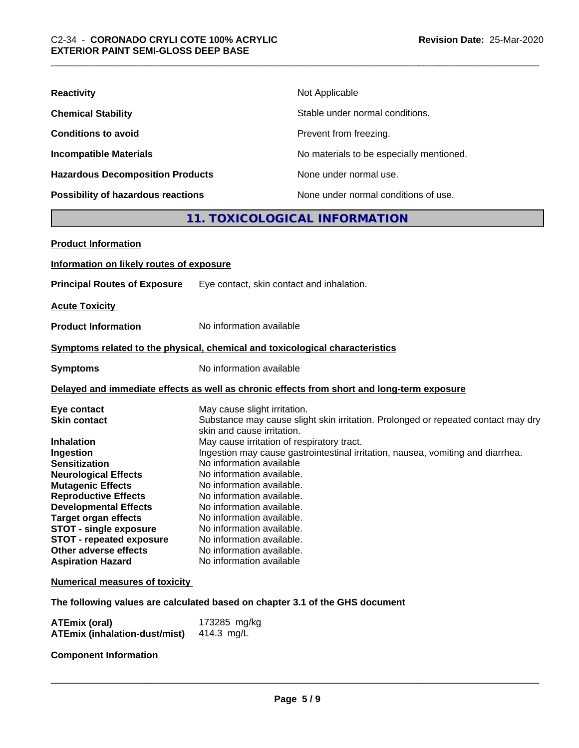| <b>Reactivity</b>                         | Not Applicable                           |
|-------------------------------------------|------------------------------------------|
| <b>Chemical Stability</b>                 | Stable under normal conditions.          |
| <b>Conditions to avoid</b>                | Prevent from freezing.                   |
| <b>Incompatible Materials</b>             | No materials to be especially mentioned. |
| <b>Hazardous Decomposition Products</b>   | None under normal use.                   |
| <b>Possibility of hazardous reactions</b> | None under normal conditions of use.     |

## **11. TOXICOLOGICAL INFORMATION**

| <b>Product Information</b>                                   |                                                                                                                 |
|--------------------------------------------------------------|-----------------------------------------------------------------------------------------------------------------|
| Information on likely routes of exposure                     |                                                                                                                 |
| <b>Principal Routes of Exposure</b>                          | Eye contact, skin contact and inhalation.                                                                       |
| <b>Acute Toxicity</b>                                        |                                                                                                                 |
| <b>Product Information</b>                                   | No information available                                                                                        |
|                                                              | Symptoms related to the physical, chemical and toxicological characteristics                                    |
| <b>Symptoms</b>                                              | No information available                                                                                        |
|                                                              | Delayed and immediate effects as well as chronic effects from short and long-term exposure                      |
| Eye contact                                                  | May cause slight irritation.                                                                                    |
| <b>Skin contact</b>                                          | Substance may cause slight skin irritation. Prolonged or repeated contact may dry<br>skin and cause irritation. |
| <b>Inhalation</b>                                            | May cause irritation of respiratory tract.                                                                      |
| Ingestion                                                    | Ingestion may cause gastrointestinal irritation, nausea, vomiting and diarrhea.                                 |
| <b>Sensitization</b>                                         | No information available                                                                                        |
| <b>Neurological Effects</b>                                  | No information available.                                                                                       |
| <b>Mutagenic Effects</b>                                     | No information available.                                                                                       |
| <b>Reproductive Effects</b>                                  | No information available.                                                                                       |
| <b>Developmental Effects</b>                                 | No information available.                                                                                       |
| <b>Target organ effects</b>                                  | No information available.                                                                                       |
| <b>STOT - single exposure</b>                                | No information available.                                                                                       |
| <b>STOT - repeated exposure</b><br>Other adverse effects     | No information available.<br>No information available.                                                          |
| <b>Aspiration Hazard</b>                                     | No information available                                                                                        |
|                                                              |                                                                                                                 |
| <b>Numerical measures of toxicity</b>                        |                                                                                                                 |
|                                                              | The following values are calculated based on chapter 3.1 of the GHS document                                    |
| <b>ATEmix (oral)</b><br><b>ATEmix (inhalation-dust/mist)</b> | 173285 mg/kg<br>414.3 mg/L                                                                                      |
|                                                              |                                                                                                                 |

**Component Information**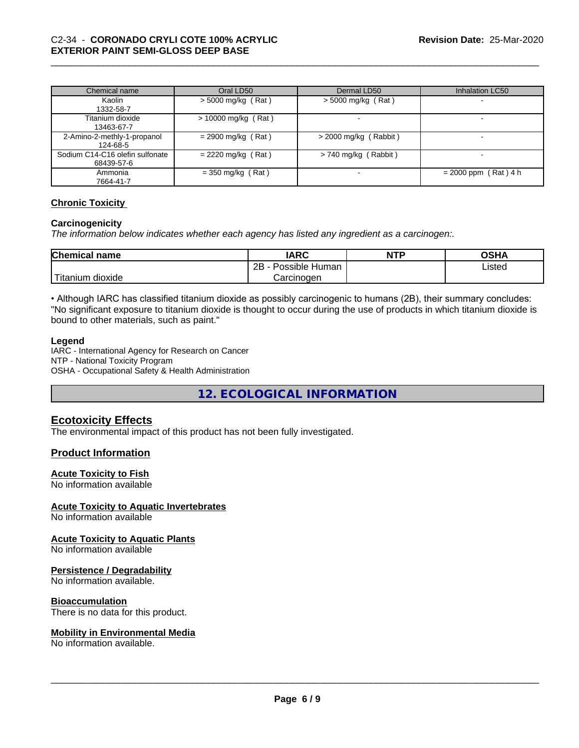| Chemical name                   | Oral LD50             | Dermal LD50             | Inhalation LC50          |
|---------------------------------|-----------------------|-------------------------|--------------------------|
| Kaolin                          | $>$ 5000 mg/kg (Rat)  | $> 5000$ mg/kg (Rat)    |                          |
| 1332-58-7                       |                       |                         |                          |
| Titanium dioxide                | $> 10000$ mg/kg (Rat) |                         | $\overline{\phantom{a}}$ |
| 13463-67-7                      |                       |                         |                          |
| 2-Amino-2-methly-1-propanol     | $= 2900$ mg/kg (Rat)  | $>$ 2000 mg/kg (Rabbit) |                          |
| 124-68-5                        |                       |                         |                          |
| Sodium C14-C16 olefin sulfonate | $= 2220$ mg/kg (Rat)  | $> 740$ mg/kg (Rabbit)  |                          |
| 68439-57-6                      |                       |                         |                          |
| Ammonia                         | $=$ 350 mg/kg (Rat)   |                         | $= 2000$ ppm (Rat) 4 h   |
| 7664-41-7                       |                       |                         |                          |

### **Chronic Toxicity**

#### **Carcinogenicity**

*The information below indicateswhether each agency has listed any ingredient as a carcinogen:.*

| <b>Chemical name</b>         | <b>IARC</b>               | <b>NTP</b> | <b>OSHA</b> |
|------------------------------|---------------------------|------------|-------------|
|                              | .<br>2B<br>Possible Human |            | Listed      |
| .<br>m dioxide<br>. Titanıum | Carcinogen                |            |             |

• Although IARC has classified titanium dioxide as possibly carcinogenic to humans (2B), their summary concludes: "No significant exposure to titanium dioxide is thought to occur during the use of products in which titanium dioxide is bound to other materials, such as paint."

#### **Legend**

IARC - International Agency for Research on Cancer NTP - National Toxicity Program OSHA - Occupational Safety & Health Administration

**12. ECOLOGICAL INFORMATION**

## **Ecotoxicity Effects**

The environmental impact of this product has not been fully investigated.

### **Product Information**

#### **Acute Toxicity to Fish**

No information available

#### **Acute Toxicity to Aquatic Invertebrates**

No information available

#### **Acute Toxicity to Aquatic Plants**

No information available

#### **Persistence / Degradability**

No information available.

#### **Bioaccumulation**

There is no data for this product.

#### **Mobility in Environmental Media**

No information available.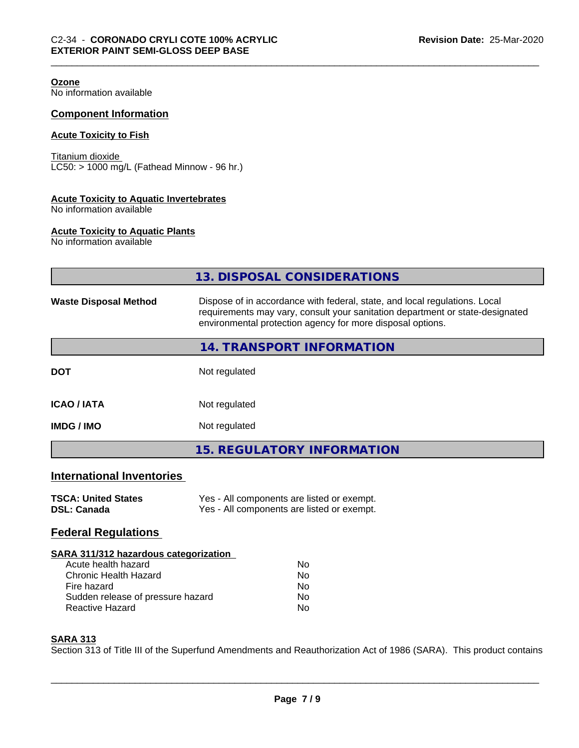| <b>Ozone</b><br>No information available                                   |                                                                                                                                                                                                                           |
|----------------------------------------------------------------------------|---------------------------------------------------------------------------------------------------------------------------------------------------------------------------------------------------------------------------|
| <b>Component Information</b>                                               |                                                                                                                                                                                                                           |
| <b>Acute Toxicity to Fish</b>                                              |                                                                                                                                                                                                                           |
| Titanium dioxide<br>LC50: > 1000 mg/L (Fathead Minnow - 96 hr.)            |                                                                                                                                                                                                                           |
| <b>Acute Toxicity to Aquatic Invertebrates</b><br>No information available |                                                                                                                                                                                                                           |
| <b>Acute Toxicity to Aquatic Plants</b><br>No information available        |                                                                                                                                                                                                                           |
|                                                                            | 13. DISPOSAL CONSIDERATIONS                                                                                                                                                                                               |
| <b>Waste Disposal Method</b>                                               | Dispose of in accordance with federal, state, and local regulations. Local<br>requirements may vary, consult your sanitation department or state-designated<br>environmental protection agency for more disposal options. |
|                                                                            | 14. TRANSPORT INFORMATION                                                                                                                                                                                                 |
| <b>DOT</b>                                                                 | Not regulated                                                                                                                                                                                                             |
| <b>ICAO / IATA</b>                                                         | Not regulated                                                                                                                                                                                                             |
| <b>IMDG / IMO</b>                                                          | Not regulated                                                                                                                                                                                                             |
|                                                                            | <b>15. REGULATORY INFORMATION</b>                                                                                                                                                                                         |
| <b>International Inventories</b>                                           |                                                                                                                                                                                                                           |
| <b>TSCA: United States</b><br><b>DSL: Canada</b>                           | Yes - All components are listed or exempt.<br>Yes - All components are listed or exempt.                                                                                                                                  |
| <b>Federal Regulations</b>                                                 |                                                                                                                                                                                                                           |
| SARA 311/312 hazardous categorization                                      |                                                                                                                                                                                                                           |

| Nο |  |
|----|--|
| Nο |  |
| Nο |  |
| Nο |  |
| Nο |  |
|    |  |

#### **SARA 313**

Section 313 of Title III of the Superfund Amendments and Reauthorization Act of 1986 (SARA). This product contains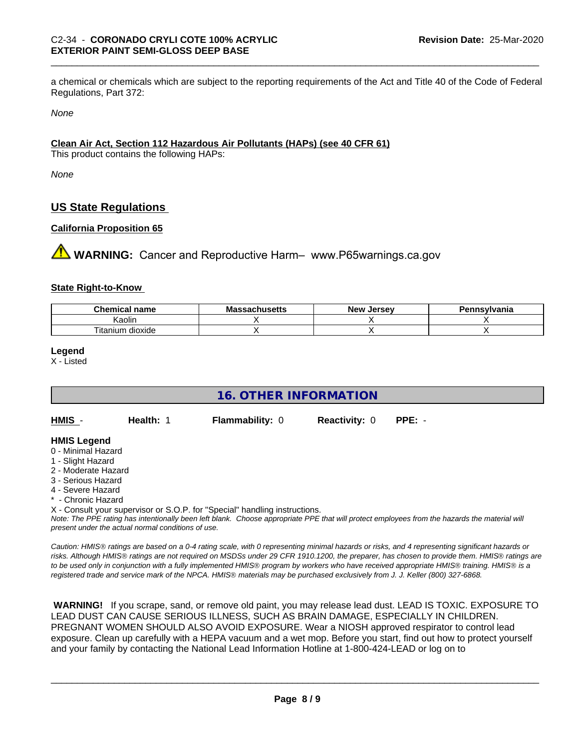a chemical or chemicals which are subject to the reporting requirements of the Act and Title 40 of the Code of Federal Regulations, Part 372:

*None*

### **Clean Air Act,Section 112 Hazardous Air Pollutants (HAPs) (see 40 CFR 61)**

This product contains the following HAPs:

*None*

## **US State Regulations**

#### **California Proposition 65**

**A WARNING:** Cancer and Reproductive Harm– www.P65warnings.ca.gov

#### **State Right-to-Know**

| <u>т.</u><br>nm.<br>пане        | <br>nuscus | loreov<br><b>Nev</b><br><br>. . | svivania |
|---------------------------------|------------|---------------------------------|----------|
| Kaolin                          |            |                                 |          |
| --<br><br>dioxide<br>l itanium. |            |                                 |          |

#### **Legend**

X - Listed

| 16. OTHER INFORMATION                                                                                                                                 |                                                    |                                                                            |                      |                                                                                                                                               |  |  |
|-------------------------------------------------------------------------------------------------------------------------------------------------------|----------------------------------------------------|----------------------------------------------------------------------------|----------------------|-----------------------------------------------------------------------------------------------------------------------------------------------|--|--|
| HMIS -                                                                                                                                                | Health: 1                                          | <b>Flammability: 0</b>                                                     | <b>Reactivity: 0</b> | $PPE: -$                                                                                                                                      |  |  |
| <b>HMIS Legend</b><br>0 - Minimal Hazard<br>1 - Slight Hazard<br>2 - Moderate Hazard<br>3 - Serious Hazard<br>4 - Severe Hazard<br>* - Chronic Hazard |                                                    |                                                                            |                      |                                                                                                                                               |  |  |
|                                                                                                                                                       | present under the actual normal conditions of use. | X - Consult your supervisor or S.O.P. for "Special" handling instructions. |                      | Note: The PPE rating has intentionally been left blank. Choose appropriate PPE that will protect employees from the hazards the material will |  |  |

*Caution: HMISÒ ratings are based on a 0-4 rating scale, with 0 representing minimal hazards or risks, and 4 representing significant hazards or risks. Although HMISÒ ratings are not required on MSDSs under 29 CFR 1910.1200, the preparer, has chosen to provide them. HMISÒ ratings are to be used only in conjunction with a fully implemented HMISÒ program by workers who have received appropriate HMISÒ training. HMISÒ is a registered trade and service mark of the NPCA. HMISÒ materials may be purchased exclusively from J. J. Keller (800) 327-6868.*

 **WARNING!** If you scrape, sand, or remove old paint, you may release lead dust. LEAD IS TOXIC. EXPOSURE TO LEAD DUST CAN CAUSE SERIOUS ILLNESS, SUCH AS BRAIN DAMAGE, ESPECIALLY IN CHILDREN. PREGNANT WOMEN SHOULD ALSO AVOID EXPOSURE.Wear a NIOSH approved respirator to control lead exposure. Clean up carefully with a HEPA vacuum and a wet mop. Before you start, find out how to protect yourself and your family by contacting the National Lead Information Hotline at 1-800-424-LEAD or log on to